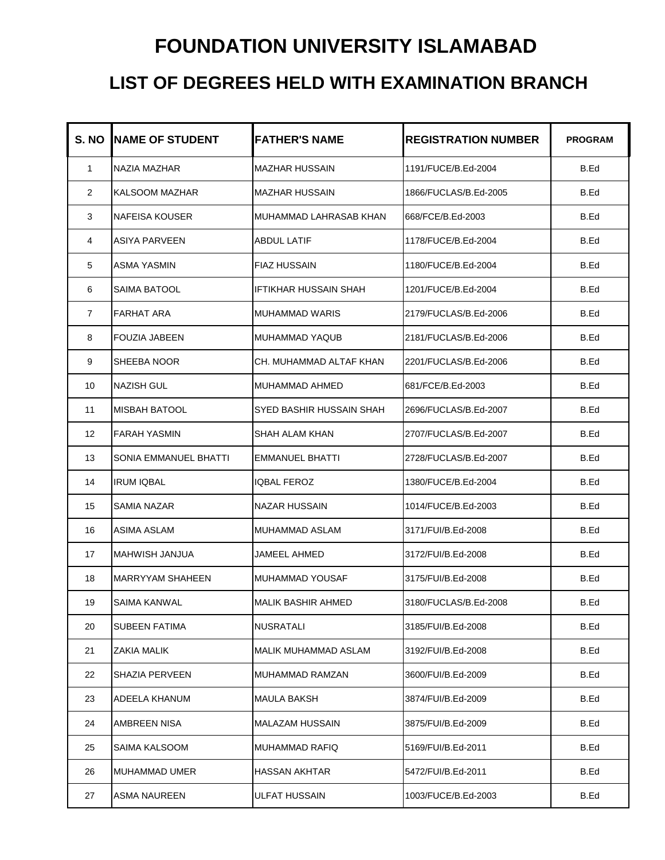## **FOUNDATION UNIVERSITY ISLAMABAD**

## **LIST OF DEGREES HELD WITH EXAMINATION BRANCH**

| S. NO          | <b>INAME OF STUDENT</b> | <b>FATHER'S NAME</b>      | <b>REGISTRATION NUMBER</b> | <b>PROGRAM</b> |
|----------------|-------------------------|---------------------------|----------------------------|----------------|
| $\mathbf{1}$   | NAZIA MAZHAR            | <b>MAZHAR HUSSAIN</b>     | 1191/FUCE/B.Ed-2004        | B.Ed           |
| $\overline{2}$ | <b>KALSOOM MAZHAR</b>   | <b>MAZHAR HUSSAIN</b>     | 1866/FUCLAS/B.Ed-2005      | B.Ed           |
| 3              | NAFEISA KOUSER          | MUHAMMAD LAHRASAB KHAN    | 668/FCE/B.Ed-2003          | B.Ed           |
| 4              | <b>ASIYA PARVEEN</b>    | ABDUL LATIF               | 1178/FUCE/B.Ed-2004        | B.Ed           |
| 5              | <b>ASMA YASMIN</b>      | <b>FIAZ HUSSAIN</b>       | 1180/FUCE/B.Ed-2004        | B.Ed           |
| 6              | <b>SAIMA BATOOL</b>     | IFTIKHAR HUSSAIN SHAH     | 1201/FUCE/B.Ed-2004        | B.Ed           |
| $\overline{7}$ | <b>FARHAT ARA</b>       | <b>MUHAMMAD WARIS</b>     | 2179/FUCLAS/B.Ed-2006      | B.Ed           |
| 8              | <b>FOUZIA JABEEN</b>    | <b>MUHAMMAD YAQUB</b>     | 2181/FUCLAS/B.Ed-2006      | B.Ed           |
| 9              | SHEEBA NOOR             | CH. MUHAMMAD ALTAF KHAN   | 2201/FUCLAS/B.Ed-2006      | B.Ed           |
| 10             | <b>NAZISH GUL</b>       | MUHAMMAD AHMED            | 681/FCE/B.Ed-2003          | B.Ed           |
| 11             | <b>MISBAH BATOOL</b>    | SYED BASHIR HUSSAIN SHAH  | 2696/FUCLAS/B.Ed-2007      | B.Ed           |
| 12             | <b>FARAH YASMIN</b>     | SHAH ALAM KHAN            | 2707/FUCLAS/B.Ed-2007      | B.Ed           |
| 13             | SONIA EMMANUEL BHATTI   | <b>EMMANUEL BHATTI</b>    | 2728/FUCLAS/B.Ed-2007      | B.Ed           |
| 14             | <b>IRUM IQBAL</b>       | <b>IQBAL FEROZ</b>        | 1380/FUCE/B.Ed-2004        | B.Ed           |
| 15             | <b>SAMIA NAZAR</b>      | NAZAR HUSSAIN             | 1014/FUCE/B.Ed-2003        | B.Ed           |
| 16             | <b>ASIMA ASLAM</b>      | MUHAMMAD ASLAM            | 3171/FUI/B.Ed-2008         | B.Ed           |
| 17             | MAHWISH JANJUA          | JAMEEL AHMED              | 3172/FUI/B.Ed-2008         | B.Ed           |
| 18             | <b>MARRYYAM SHAHEEN</b> | MUHAMMAD YOUSAF           | 3175/FUI/B.Ed-2008         | B.Ed           |
| 19             | <b>SAIMA KANWAL</b>     | <b>MALIK BASHIR AHMED</b> | 3180/FUCLAS/B.Ed-2008      | B.Ed           |
| 20             | <b>SUBEEN FATIMA</b>    | <b>NUSRATALI</b>          | 3185/FUI/B.Ed-2008         | B.Ed           |
| 21             | ZAKIA MALIK             | MALIK MUHAMMAD ASLAM      | 3192/FUI/B.Ed-2008         | B.Ed           |
| 22             | SHAZIA PERVEEN          | MUHAMMAD RAMZAN           | 3600/FUI/B.Ed-2009         | B.Ed           |
| 23             | ADEELA KHANUM           | MAULA BAKSH               | 3874/FUI/B.Ed-2009         | B.Ed           |
| 24             | AMBREEN NISA            | <b>MALAZAM HUSSAIN</b>    | 3875/FUI/B.Ed-2009         | B.Ed           |
| 25             | SAIMA KALSOOM           | MUHAMMAD RAFIQ            | 5169/FUI/B.Ed-2011         | B.Ed           |
| 26             | <b>MUHAMMAD UMER</b>    | HASSAN AKHTAR             | 5472/FUI/B.Ed-2011         | B.Ed           |
| 27             | <b>ASMA NAUREEN</b>     | ULFAT HUSSAIN             | 1003/FUCE/B.Ed-2003        | B.Ed           |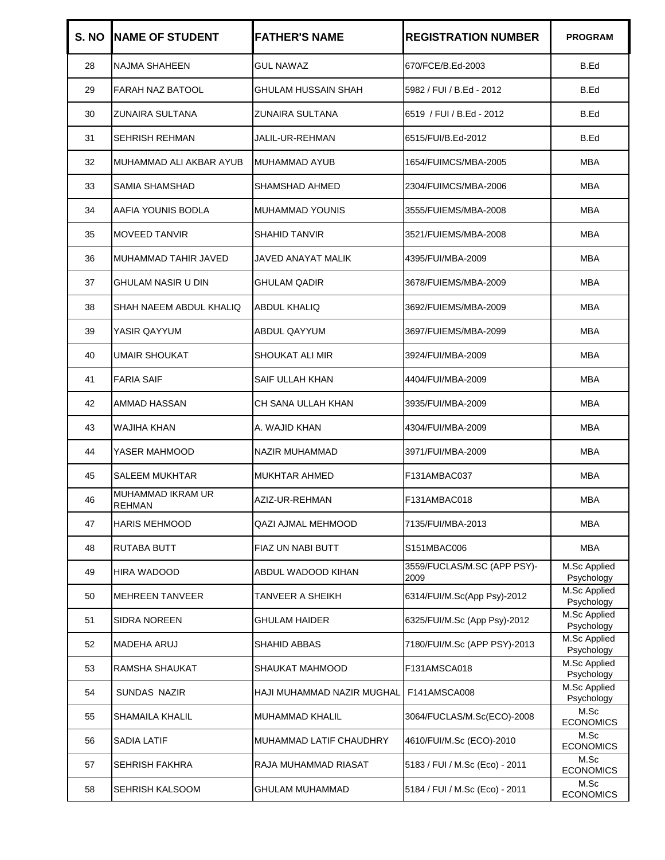| S. NO | <b>INAME OF STUDENT</b>            | <b>FATHER'S NAME</b>       | <b>REGISTRATION NUMBER</b>          | <b>PROGRAM</b>             |
|-------|------------------------------------|----------------------------|-------------------------------------|----------------------------|
| 28    | NAJMA SHAHEEN                      | <b>GUL NAWAZ</b>           | 670/FCE/B.Ed-2003                   | B.Ed                       |
| 29    | FARAH NAZ BATOOL                   | GHULAM HUSSAIN SHAH        | 5982 / FUI / B.Ed - 2012            | B.Ed                       |
| 30    | ZUNAIRA SULTANA                    | ZUNAIRA SULTANA            | 6519 / FUI / B.Ed - 2012            | B.Ed                       |
| 31    | <b>SEHRISH REHMAN</b>              | JALIL-UR-REHMAN            | 6515/FUI/B.Ed-2012                  | B.Ed                       |
| 32    | MUHAMMAD ALI AKBAR AYUB            | MUHAMMAD AYUB              | 1654/FUIMCS/MBA-2005                | MBA                        |
| 33    | SAMIA SHAMSHAD                     | SHAMSHAD AHMED             | 2304/FUIMCS/MBA-2006                | MBA                        |
| 34    | AAFIA YOUNIS BODLA                 | MUHAMMAD YOUNIS            | 3555/FUIEMS/MBA-2008                | MBA                        |
| 35    | <b>MOVEED TANVIR</b>               | <b>SHAHID TANVIR</b>       | 3521/FUIEMS/MBA-2008                | MBA                        |
| 36    | MUHAMMAD TAHIR JAVED               | JAVED ANAYAT MALIK         | 4395/FUI/MBA-2009                   | MBA                        |
| 37    | GHULAM NASIR U DIN                 | GHULAM QADIR               | 3678/FUIEMS/MBA-2009                | MBA                        |
| 38    | SHAH NAEEM ABDUL KHALIQ            | ABDUL KHALIQ               | 3692/FUIEMS/MBA-2009                | MBA                        |
| 39    | YASIR QAYYUM                       | ABDUL QAYYUM               | 3697/FUIEMS/MBA-2099                | MBA                        |
| 40    | UMAIR SHOUKAT                      | SHOUKAT ALI MIR            | 3924/FUI/MBA-2009                   | MBA                        |
| 41    | <b>FARIA SAIF</b>                  | SAIF ULLAH KHAN            | 4404/FUI/MBA-2009                   | MBA                        |
| 42    | AMMAD HASSAN                       | CH SANA ULLAH KHAN         | 3935/FUI/MBA-2009                   | MBA                        |
| 43    | WAJIHA KHAN                        | A. WAJID KHAN              | 4304/FUI/MBA-2009                   | MBA                        |
| 44    | YASER MAHMOOD                      | NAZIR MUHAMMAD             | 3971/FUI/MBA-2009                   | MBA                        |
| 45    | SALEEM MUKHTAR                     | <b>MUKHTAR AHMED</b>       | F131AMBAC037                        | MBA                        |
| 46    | MUHAMMAD IKRAM UR<br><b>REHMAN</b> | AZIZ-UR-REHMAN             | F131AMBAC018                        | MBA                        |
| 47    | HARIS MEHMOOD                      | QAZI AJMAL MEHMOOD         | 7135/FUI/MBA-2013                   | <b>MBA</b>                 |
| 48    | RUTABA BUTT                        | FIAZ UN NABI BUTT          | S151MBAC006                         | <b>MBA</b>                 |
| 49    | HIRA WADOOD                        | ABDUL WADOOD KIHAN         | 3559/FUCLAS/M.SC (APP PSY)-<br>2009 | M.Sc Applied<br>Psychology |
| 50    | <b>MEHREEN TANVEER</b>             | TANVEER A SHEIKH           | 6314/FUI/M.Sc(App Psy)-2012         | M.Sc Applied<br>Psychology |
| 51    | <b>SIDRA NOREEN</b>                | GHULAM HAIDER              | 6325/FUI/M.Sc (App Psy)-2012        | M.Sc Applied<br>Psychology |
| 52    | <b>MADEHA ARUJ</b>                 | SHAHID ABBAS               | 7180/FUI/M.Sc (APP PSY)-2013        | M.Sc Applied<br>Psychology |
| 53    | RAMSHA SHAUKAT                     | SHAUKAT MAHMOOD            | F131AMSCA018                        | M.Sc Applied<br>Psychology |
| 54    | <b>SUNDAS NAZIR</b>                | HAJI MUHAMMAD NAZIR MUGHAL | F141AMSCA008                        | M.Sc Applied<br>Psychology |
| 55    | SHAMAILA KHALIL                    | <b>MUHAMMAD KHALIL</b>     | 3064/FUCLAS/M.Sc(ECO)-2008          | M.Sc<br><b>ECONOMICS</b>   |
| 56    | SADIA LATIF                        | MUHAMMAD LATIF CHAUDHRY    | 4610/FUI/M.Sc (ECO)-2010            | M.Sc<br><b>ECONOMICS</b>   |
| 57    | <b>SEHRISH FAKHRA</b>              | RAJA MUHAMMAD RIASAT       | 5183 / FUI / M.Sc (Eco) - 2011      | M.Sc<br><b>ECONOMICS</b>   |
| 58    | SEHRISH KALSOOM                    | GHULAM MUHAMMAD            | 5184 / FUI / M.Sc (Eco) - 2011      | M.Sc<br><b>ECONOMICS</b>   |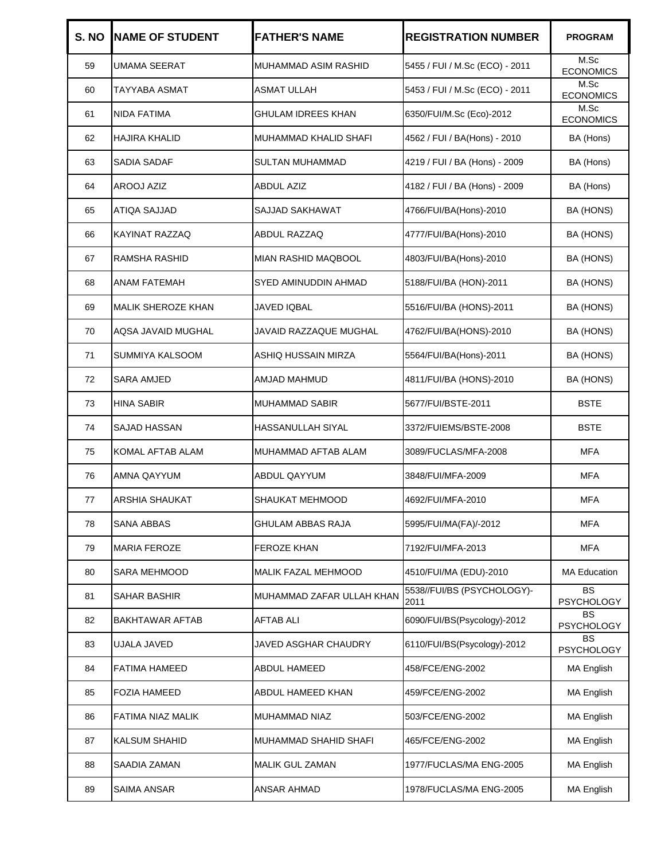| S. NO | <b>NAME OF STUDENT</b>    | <b>FATHER'S NAME</b>       | <b>REGISTRATION NUMBER</b>         | <b>PROGRAM</b>                 |
|-------|---------------------------|----------------------------|------------------------------------|--------------------------------|
| 59    | <b>UMAMA SEERAT</b>       | MUHAMMAD ASIM RASHID       | 5455 / FUI / M.Sc (ECO) - 2011     | M.Sc<br><b>ECONOMICS</b>       |
| 60    | TAYYABA ASMAT             | ASMAT ULLAH                | 5453 / FUI / M.Sc (ECO) - 2011     | M.Sc<br><b>ECONOMICS</b>       |
| 61    | <b>NIDA FATIMA</b>        | <b>GHULAM IDREES KHAN</b>  | 6350/FUI/M.Sc (Eco)-2012           | M.Sc<br><b>ECONOMICS</b>       |
| 62    | <b>HAJIRA KHALID</b>      | MUHAMMAD KHALID SHAFI      | 4562 / FUI / BA(Hons) - 2010       | BA (Hons)                      |
| 63    | <b>SADIA SADAF</b>        | <b>SULTAN MUHAMMAD</b>     | 4219 / FUI / BA (Hons) - 2009      | BA (Hons)                      |
| 64    | AROOJ AZIZ                | ABDUL AZIZ                 | 4182 / FUI / BA (Hons) - 2009      | BA (Hons)                      |
| 65    | <b>ATIQA SAJJAD</b>       | SAJJAD SAKHAWAT            | 4766/FUI/BA(Hons)-2010             | BA (HONS)                      |
| 66    | KAYINAT RAZZAQ            | ABDUL RAZZAQ               | 4777/FUI/BA(Hons)-2010             | BA (HONS)                      |
| 67    | RAMSHA RASHID             | <b>MIAN RASHID MAQBOOL</b> | 4803/FUI/BA(Hons)-2010             | BA (HONS)                      |
| 68    | ANAM FATEMAH              | SYED AMINUDDIN AHMAD       | 5188/FUI/BA (HON)-2011             | BA (HONS)                      |
| 69    | <b>MALIK SHEROZE KHAN</b> | JAVED IQBAL                | 5516/FUI/BA (HONS)-2011            | BA (HONS)                      |
| 70    | AQSA JAVAID MUGHAL        | JAVAID RAZZAQUE MUGHAL     | 4762/FUI/BA(HONS)-2010             | BA (HONS)                      |
| 71    | SUMMIYA KALSOOM           | ASHIQ HUSSAIN MIRZA        | 5564/FUI/BA(Hons)-2011             | BA (HONS)                      |
| 72    | <b>SARA AMJED</b>         | AMJAD MAHMUD               | 4811/FUI/BA (HONS)-2010            | BA (HONS)                      |
| 73    | HINA SABIR                | <b>MUHAMMAD SABIR</b>      | 5677/FUI/BSTE-2011                 | BSTE                           |
| 74    | <b>SAJAD HASSAN</b>       | <b>HASSANULLAH SIYAL</b>   | 3372/FUIEMS/BSTE-2008              | BSTE                           |
| 75    | KOMAL AFTAB ALAM          | MUHAMMAD AFTAB ALAM        | 3089/FUCLAS/MFA-2008               | MFA                            |
| 76    | AMNA QAYYUM               | <b>ABDUL QAYYUM</b>        | 3848/FUI/MFA-2009                  | <b>MFA</b>                     |
| 77    | ARSHIA SHAUKAT            | SHAUKAT MEHMOOD            | 4692/FUI/MFA-2010                  | <b>MFA</b>                     |
| 78    | <b>SANA ABBAS</b>         | GHULAM ABBAS RAJA          | 5995/FUI/MA(FA)/-2012              | MFA                            |
| 79    | <b>MARIA FEROZE</b>       | <b>FEROZE KHAN</b>         | 7192/FUI/MFA-2013                  | MFA                            |
| 80    | <b>SARA MEHMOOD</b>       | <b>MALIK FAZAL MEHMOOD</b> | 4510/FUI/MA (EDU)-2010             | <b>MA Education</b>            |
| 81    | SAHAR BASHIR              | MUHAMMAD ZAFAR ULLAH KHAN  | 5538//FUI/BS (PSYCHOLOGY)-<br>2011 | <b>BS</b><br><b>PSYCHOLOGY</b> |
| 82    | BAKHTAWAR AFTAB           | <b>AFTAB ALI</b>           | 6090/FUI/BS(Psycology)-2012        | BS<br><b>PSYCHOLOGY</b>        |
| 83    | <b>UJALA JAVED</b>        | JAVED ASGHAR CHAUDRY       | 6110/FUI/BS(Psycology)-2012        | BS<br><b>PSYCHOLOGY</b>        |
| 84    | FATIMA HAMEED             | <b>ABDUL HAMEED</b>        | 458/FCE/ENG-2002                   | <b>MA English</b>              |
| 85    | <b>FOZIA HAMEED</b>       | ABDUL HAMEED KHAN          | 459/FCE/ENG-2002                   | MA English                     |
| 86    | FATIMA NIAZ MALIK         | MUHAMMAD NIAZ              | 503/FCE/ENG-2002                   | <b>MA English</b>              |
| 87    | KALSUM SHAHID             | MUHAMMAD SHAHID SHAFI      | 465/FCE/ENG-2002                   | <b>MA English</b>              |
| 88    | SAADIA ZAMAN              | <b>MALIK GUL ZAMAN</b>     | 1977/FUCLAS/MA ENG-2005            | MA English                     |
| 89    | SAIMA ANSAR               | <b>ANSAR AHMAD</b>         | 1978/FUCLAS/MA ENG-2005            | <b>MA English</b>              |